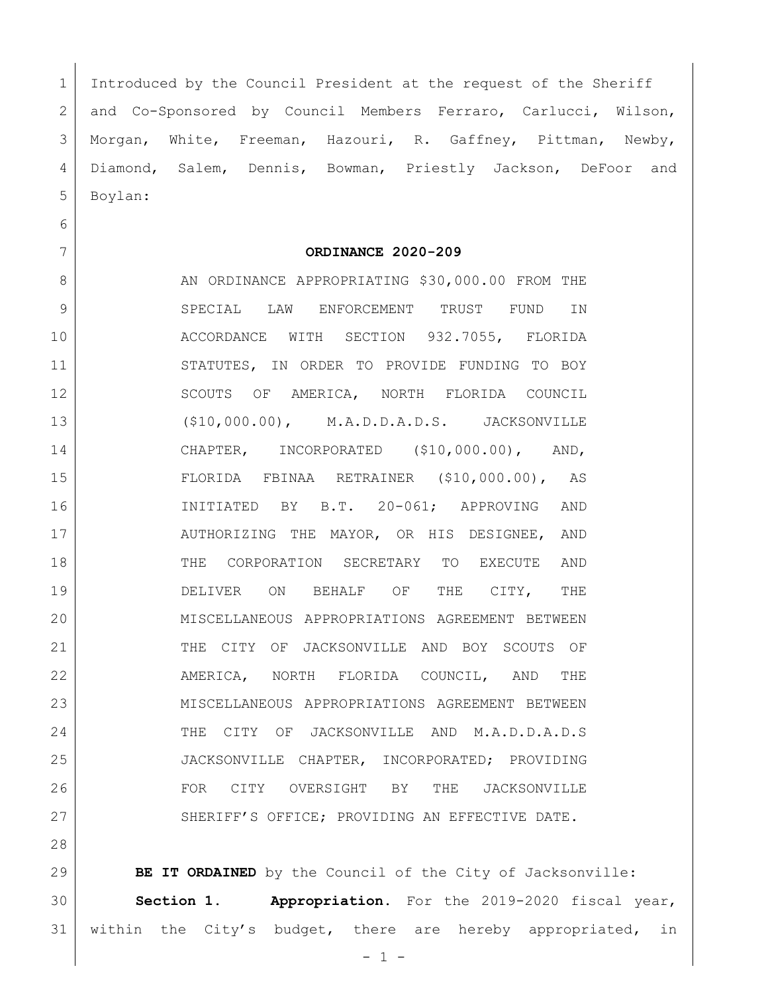Introduced by the Council President at the request of the Sheriff and Co-Sponsored by Council Members Ferraro, Carlucci, Wilson, Morgan, White, Freeman, Hazouri, R. Gaffney, Pittman, Newby, Diamond, Salem, Dennis, Bowman, Priestly Jackson, DeFoor and Boylan:

**ORDINANCE 2020-209**

8 AN ORDINANCE APPROPRIATING \$30,000.00 FROM THE SPECIAL LAW ENFORCEMENT TRUST FUND IN ACCORDANCE WITH SECTION 932.7055, FLORIDA 11 STATUTES, IN ORDER TO PROVIDE FUNDING TO BOY 12 SCOUTS OF AMERICA, NORTH FLORIDA COUNCIL (\$10,000.00), M.A.D.D.A.D.S. JACKSONVILLE CHAPTER, INCORPORATED (\$10,000.00), AND, FLORIDA FBINAA RETRAINER (\$10,000.00), AS INITIATED BY B.T. 20-061; APPROVING AND 17 AUTHORIZING THE MAYOR, OR HIS DESIGNEE, AND THE CORPORATION SECRETARY TO EXECUTE AND DELIVER ON BEHALF OF THE CITY, THE MISCELLANEOUS APPROPRIATIONS AGREEMENT BETWEEN THE CITY OF JACKSONVILLE AND BOY SCOUTS OF AMERICA, NORTH FLORIDA COUNCIL, AND THE MISCELLANEOUS APPROPRIATIONS AGREEMENT BETWEEN THE CITY OF JACKSONVILLE AND M.A.D.D.A.D.S JACKSONVILLE CHAPTER, INCORPORATED; PROVIDING FOR CITY OVERSIGHT BY THE JACKSONVILLE 27 SHERIFF'S OFFICE; PROVIDING AN EFFECTIVE DATE.

 **BE IT ORDAINED** by the Council of the City of Jacksonville: **Section 1. Appropriation.** For the 2019-2020 fiscal year, within the City's budget, there are hereby appropriated, in

 $- 1 -$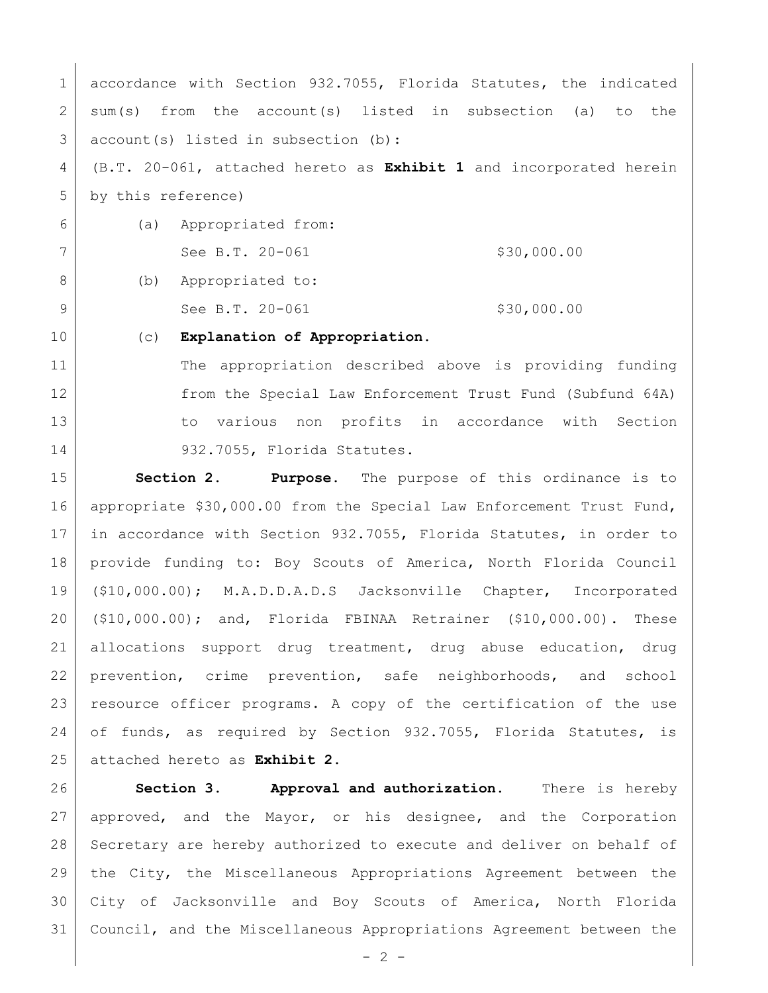1 accordance with Section 932.7055, Florida Statutes, the indicated 2 sum(s) from the account(s) listed in subsection (a) to the account(s) listed in subsection (b): (B.T. 20-061, attached hereto as **Exhibit 1** and incorporated herein

by this reference)

 (a) Appropriated from: 7 See B.T. 20-061 \$30,000.00 8 (b) Appropriated to:

9 See B.T. 20-061 \$30,000.00

(c) **Explanation of Appropriation.**

11 The appropriation described above is providing funding from the Special Law Enforcement Trust Fund (Subfund 64A) 13 13 to various non profits in accordance with Section 14 932.7055, Florida Statutes.

 **Section 2. Purpose.** The purpose of this ordinance is to appropriate \$30,000.00 from the Special Law Enforcement Trust Fund, in accordance with Section 932.7055, Florida Statutes, in order to provide funding to: Boy Scouts of America, North Florida Council (\$10,000.00); M.A.D.D.A.D.S Jacksonville Chapter, Incorporated (\$10,000.00); and, Florida FBINAA Retrainer (\$10,000.00). These allocations support drug treatment, drug abuse education, drug 22 prevention, crime prevention, safe neighborhoods, and school resource officer programs. A copy of the certification of the use of funds, as required by Section 932.7055, Florida Statutes, is attached hereto as **Exhibit 2**.

 **Section 3. Approval and authorization.** There is hereby approved, and the Mayor, or his designee, and the Corporation Secretary are hereby authorized to execute and deliver on behalf of the City, the Miscellaneous Appropriations Agreement between the City of Jacksonville and Boy Scouts of America, North Florida Council, and the Miscellaneous Appropriations Agreement between the

 $- 2 -$